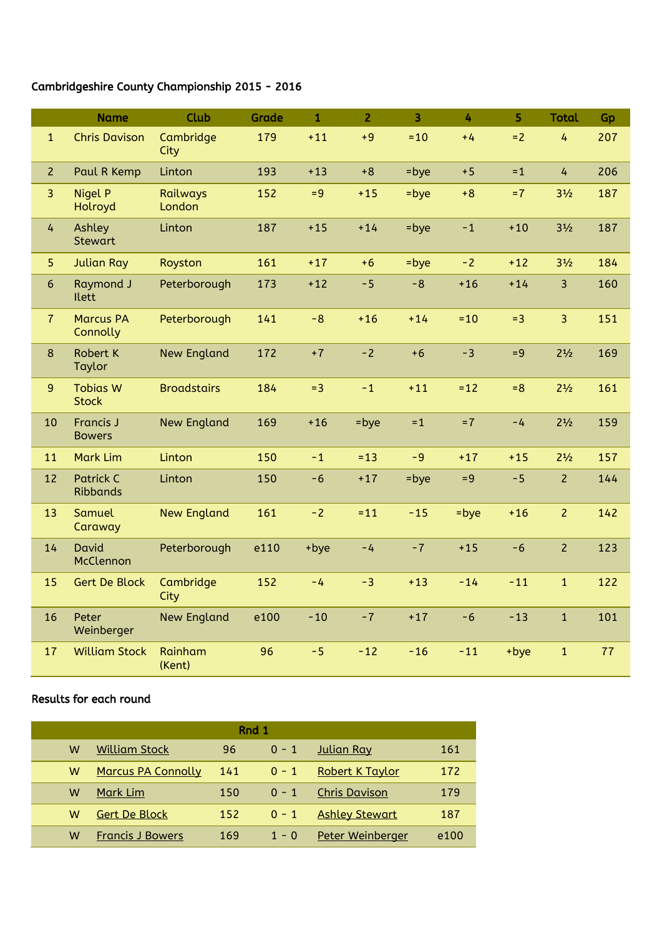## Cambridgeshire County Championship 2015 - 2016

|                | <b>Name</b>                         | <b>Club</b>        | Grade | $\mathbf{1}$ | $\overline{2}$ | $\overline{3}$ | 4     | 5     | <b>Total</b>   | Gp  |
|----------------|-------------------------------------|--------------------|-------|--------------|----------------|----------------|-------|-------|----------------|-----|
| $\mathbf{1}$   | <b>Chris Davison</b>                | Cambridge<br>City  | 179   | $+11$        | $+9$           | $=10$          | $+4$  | $=2$  | 4              | 207 |
| $\overline{2}$ | Paul R Kemp                         | Linton             | 193   | $+13$        | $+8$           | $=$ bye        | $+5$  | $=1$  | $\overline{4}$ | 206 |
| $\overline{3}$ | Nigel P<br>Holroyd                  | Railways<br>London | 152   | $= 9$        | $+15$          | $=$ bye        | $+8$  | $=7$  | $3\frac{1}{2}$ | 187 |
| $\overline{4}$ | Ashley<br><b>Stewart</b>            | Linton             | 187   | $+15$        | $+14$          | $=$ bye        | $-1$  | $+10$ | $3\frac{1}{2}$ | 187 |
| 5              | <b>Julian Ray</b>                   | Royston            | 161   | $+17$        | $+6$           | $=$ bye        | $-2$  | $+12$ | $3\frac{1}{2}$ | 184 |
| $6\,$          | <b>Raymond J</b><br><b>Ilett</b>    | Peterborough       | 173   | $+12$        | $-5$           | $-8$           | $+16$ | $+14$ | $\overline{3}$ | 160 |
| $\overline{7}$ | <b>Marcus PA</b><br>Connolly        | Peterborough       | 141   | $-8$         | $+16$          | $+14$          | $=10$ | $=3$  | $\overline{3}$ | 151 |
| 8              | <b>Robert K</b><br>Taylor           | <b>New England</b> | 172   | $+7$         | $-2$           | $+6$           | $-3$  | $= 9$ | $2^{1/2}$      | 169 |
| 9              | <b>Tobias W</b><br><b>Stock</b>     | <b>Broadstairs</b> | 184   | $=3$         | $-1$           | $+11$          | $=12$ | $= 8$ | $2^{1/2}$      | 161 |
| 10             | <b>Francis J</b><br><b>Bowers</b>   | <b>New England</b> | 169   | $+16$        | $=$ bye        | $=1$           | $=7$  | $-4$  | $2^{1/2}$      | 159 |
| 11             | <b>Mark Lim</b>                     | Linton             | 150   | $-1$         | $= 13$         | $-9$           | $+17$ | $+15$ | $2\frac{1}{2}$ | 157 |
| 12             | <b>Patrick C</b><br><b>Ribbands</b> | Linton             | 150   | $-6$         | $+17$          | $=$ bye        | $= 9$ | $-5$  | $\overline{2}$ | 144 |
| 13             | Samuel<br>Caraway                   | <b>New England</b> | 161   | $-2$         | $= 11$         | $-15$          | =bye  | $+16$ | $\overline{2}$ | 142 |
| 14             | David<br>McClennon                  | Peterborough       | e110  | +bye         | $-4$           | $-7$           | $+15$ | $-6$  | $\overline{2}$ | 123 |
| 15             | <b>Gert De Block</b>                | Cambridge<br>City  | 152   | $-4$         | $-3$           | $+13$          | $-14$ | $-11$ | $\mathbf{1}$   | 122 |
| 16             | Peter<br>Weinberger                 | <b>New England</b> | e100  | $-10$        | $-7$           | $+17$          | $-6$  | $-13$ | $\mathbf{1}$   | 101 |
| 17             | <b>William Stock</b>                | Rainham<br>(Kent)  | 96    | $-5$         | $-12$          | $-16$          | $-11$ | +bye  | $\mathbf{1}$   | 77  |

## Results for each round

| Rnd 1 |                           |     |         |                        |      |  |  |
|-------|---------------------------|-----|---------|------------------------|------|--|--|
| w     | <b>William Stock</b>      | 96  | $0 - 1$ | <b>Julian Ray</b>      | 161  |  |  |
| w     | <b>Marcus PA Connolly</b> | 141 | $0 - 1$ | <b>Robert K Taylor</b> | 172  |  |  |
| w     | <b>Mark Lim</b>           | 150 | $0 - 1$ | <b>Chris Davison</b>   | 179  |  |  |
| w     | <b>Gert De Block</b>      | 152 | $0 - 1$ | <b>Ashley Stewart</b>  | 187  |  |  |
| w     | <b>Francis J Bowers</b>   | 169 | $1 - 0$ | Peter Weinberger       | e100 |  |  |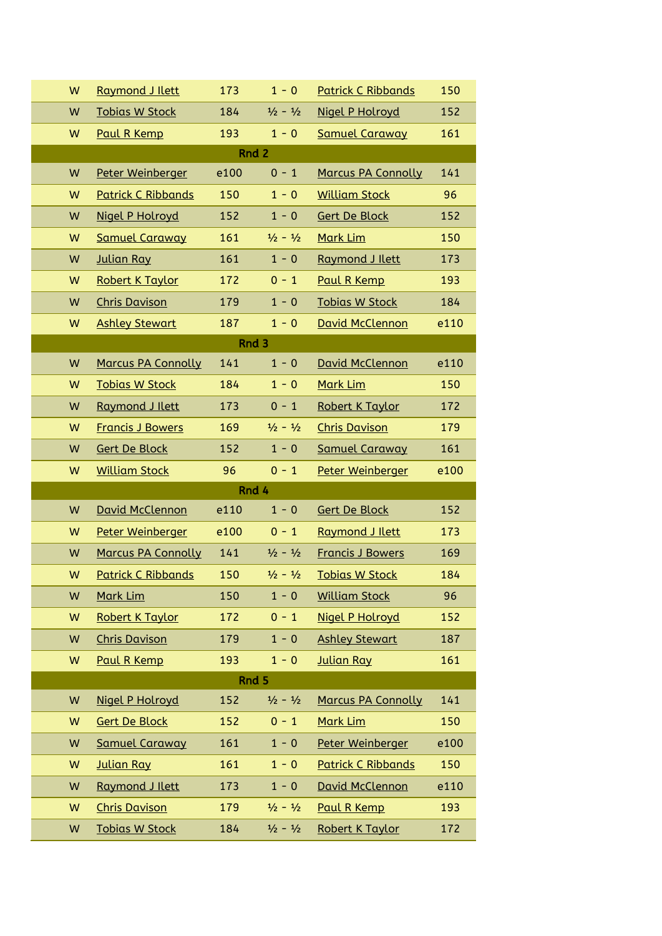| W     | <b>Raymond J Ilett</b>    | 173  | $1 - 0$                     | <b>Patrick C Ribbands</b> | 150  |  |  |  |  |  |
|-------|---------------------------|------|-----------------------------|---------------------------|------|--|--|--|--|--|
| W     | <b>Tobias W Stock</b>     | 184  | $\frac{1}{2} - \frac{1}{2}$ | <b>Nigel P Holroyd</b>    | 152  |  |  |  |  |  |
| W     | Paul R Kemp               |      | $1 - 0$                     | <b>Samuel Caraway</b>     | 161  |  |  |  |  |  |
|       | Rnd 2                     |      |                             |                           |      |  |  |  |  |  |
| W     | Peter Weinberger          | e100 | $0 - 1$                     | <b>Marcus PA Connolly</b> | 141  |  |  |  |  |  |
| W     | <b>Patrick C Ribbands</b> | 150  | $1 - 0$                     | <b>William Stock</b>      | 96   |  |  |  |  |  |
| W     | Nigel P Holroyd           | 152  | $1 - 0$                     | <b>Gert De Block</b>      | 152  |  |  |  |  |  |
| W     | <b>Samuel Caraway</b>     | 161  | $\frac{1}{2} - \frac{1}{2}$ | Mark Lim                  | 150  |  |  |  |  |  |
| W     | Julian Ray                | 161  | $1 - 0$                     | Raymond J Ilett           | 173  |  |  |  |  |  |
| W     | <b>Robert K Taylor</b>    | 172  | $0 - 1$                     | Paul R Kemp               | 193  |  |  |  |  |  |
| W     | <b>Chris Davison</b>      | 179  | $1 - 0$                     | <b>Tobias W Stock</b>     | 184  |  |  |  |  |  |
| W     | <b>Ashley Stewart</b>     | 187  | $1 - 0$                     | David McClennon           | e110 |  |  |  |  |  |
|       |                           |      | Rnd 3                       |                           |      |  |  |  |  |  |
| W     | <b>Marcus PA Connolly</b> | 141  | $1 - 0$                     | <b>David McClennon</b>    | e110 |  |  |  |  |  |
| W     | <b>Tobias W Stock</b>     | 184  | $1 - 0$                     | Mark Lim                  | 150  |  |  |  |  |  |
| W     | Raymond J Ilett           | 173  | $0 - 1$                     | Robert K Taylor           | 172  |  |  |  |  |  |
| W     | <b>Francis J Bowers</b>   | 169  | $\frac{1}{2} - \frac{1}{2}$ | <b>Chris Davison</b>      | 179  |  |  |  |  |  |
| W     | <b>Gert De Block</b>      | 152  | $1 - 0$                     | <b>Samuel Caraway</b>     | 161  |  |  |  |  |  |
| W     | <b>William Stock</b>      | 96   | $0 - 1$                     | Peter Weinberger          | e100 |  |  |  |  |  |
| Rnd 4 |                           |      |                             |                           |      |  |  |  |  |  |
| W     | David McClennon           | e110 | $1 - 0$                     | <b>Gert De Block</b>      | 152  |  |  |  |  |  |
| W     | Peter Weinberger          | e100 | $0 - 1$                     | Raymond J Ilett           | 173  |  |  |  |  |  |
| W     | <b>Marcus PA Connolly</b> | 141  | $\frac{1}{2} - \frac{1}{2}$ | <b>Francis J Bowers</b>   | 169  |  |  |  |  |  |
| W     | <b>Patrick C Ribbands</b> | 150  | $\frac{1}{2} - \frac{1}{2}$ | <b>Tobias W Stock</b>     | 184  |  |  |  |  |  |
| W     | Mark Lim                  | 150  | $1 - 0$                     | <b>William Stock</b>      | 96   |  |  |  |  |  |
| W     | Robert K Taylor           | 172  | $0 - 1$                     | Nigel P Holroyd           | 152  |  |  |  |  |  |
| W     | <b>Chris Davison</b>      | 179  | $1 - 0$                     | <b>Ashley Stewart</b>     | 187  |  |  |  |  |  |
| W     | Paul R Kemp               | 193  | $1 - 0$                     | <b>Julian Ray</b>         | 161  |  |  |  |  |  |
| Rnd 5 |                           |      |                             |                           |      |  |  |  |  |  |
| W     | Nigel P Holroyd           | 152  | $\frac{1}{2} - \frac{1}{2}$ | <b>Marcus PA Connolly</b> | 141  |  |  |  |  |  |
| W     | <b>Gert De Block</b>      | 152  | $0 - 1$                     | Mark Lim                  | 150  |  |  |  |  |  |
| W     | <b>Samuel Caraway</b>     | 161  | $1 - 0$                     | Peter Weinberger          | e100 |  |  |  |  |  |
| W     | <b>Julian Ray</b>         | 161  | $1 - 0$                     | <b>Patrick C Ribbands</b> | 150  |  |  |  |  |  |
| W     | Raymond J Ilett           | 173  | $1 - 0$                     | David McClennon           | e110 |  |  |  |  |  |
| W     | <b>Chris Davison</b>      | 179  | $\frac{1}{2} - \frac{1}{2}$ | Paul R Kemp               | 193  |  |  |  |  |  |
| W     | <b>Tobias W Stock</b>     | 184  | $\frac{1}{2} - \frac{1}{2}$ | Robert K Taylor           | 172  |  |  |  |  |  |